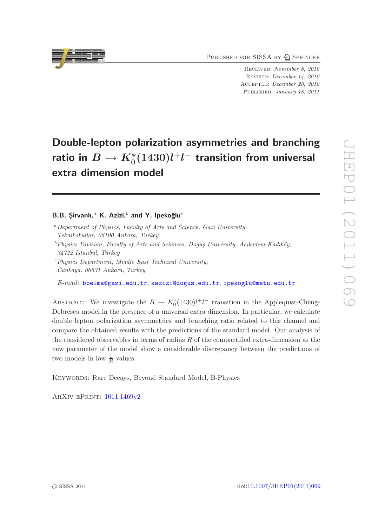PUBLISHED FOR SISSA BY 2 SPRINGER

Received: November 8, 2010 Revised: December 14, 2010 Accepted: December 20, 2010 Published: January 18, 2011

# Double-lepton polarization asymmetries and branching ratio in  $B \to K^*_0(1430) l^+ l^-$  transition from universal extra dimension model

## B.B. Sirvanlı,<sup>a</sup> K. Azizi,<sup>b</sup> and Y. Ipekoğlu<sup>c</sup>

- <sup>a</sup>*Department of Physics, Faculty of Arts and Science, Gazi University, Teknikokullar, 06100 Ankara, Turkey*
- <sup>b</sup> Physics Division, Faculty of Arts and Sciences, Doğus University, Acıbadem-Kadıköy, *34722 Istanbul, Turkey*
- <sup>c</sup>*Physics Department, Middle East Technical University, Cankaya, 06531 Ankara, Turkey*

*E-mail:* [bbelma@gazi.edu.tr](mailto:bbelma@gazi.edu.tr), [kazizi@dogus.edu.tr](mailto:kazizi@dogus.edu.tr), [ipekoglu@metu.edu.tr](mailto:ipekoglu@metu.edu.tr)

ABSTRACT: We investigate the  $B \to K_0^*(1430)l^+l^-$  transition in the Applequist-Cheng-Dobrescu model in the presence of a universal extra dimension. In particular, we calculate double lepton polarization asymmetries and branching ratio related to this channel and compare the obtained results with the predictions of the standard model. Our analysis of the considered observables in terms of radius  $R$  of the compactified extra-dimension as the new parameter of the model show a considerable discrepancy between the predictions of two models in low  $\frac{1}{R}$  values.

KEYWORDS: Rare Decays, Beyond Standard Model, B-Physics

ArXiv ePrint: [1011.1469v2](http://arxiv.org/abs/1011.1469v2)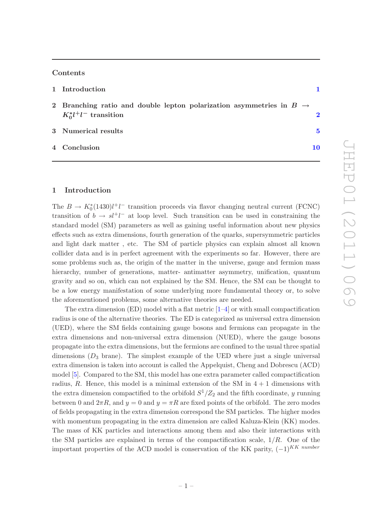### Contents

| 1 Introduction                                                                                                |   |
|---------------------------------------------------------------------------------------------------------------|---|
| 2 Branching ratio and double lepton polarization asymmetries in $B \rightarrow$<br>$K_0^* l^+ l^-$ transition |   |
| 3 Numerical results                                                                                           | 5 |
| 4 Conclusion                                                                                                  |   |

### <span id="page-1-0"></span>1 Introduction

The  $B \to K_0^*(1430)l^+l^-$  transition proceeds via flavor changing neutral current (FCNC) transition of  $b \to s l^+l^-$  at loop level. Such transition can be used in constraining the standard model (SM) parameters as well as gaining useful information about new physics effects such as extra dimensions, fourth generation of the quarks, supersymmetric particles and light dark matter , etc. The SM of particle physics can explain almost all known collider data and is in perfect agreement with the experiments so far. However, there are some problems such as, the origin of the matter in the universe, gauge and fermion mass hierarchy, number of generations, matter- antimatter asymmetry, unification, quantum gravity and so on, which can not explained by the SM. Hence, the SM can be thought to be a low energy manifestation of some underlying more fundamental theory or, to solve the aforementioned problems, some alternative theories are needed.

The extra dimension (ED) model with a flat metric  $[1-4]$  or with small compactification radius is one of the alternative theories. The ED is categorized as universal extra dimension (UED), where the SM fields containing gauge bosons and fermions can propagate in the extra dimensions and non-universal extra dimension (NUED), where the gauge bosons propagate into the extra dimensions, but the fermions are confined to the usual three spatial dimensions  $(D_3 \text{ brane})$ . The simplest example of the UED where just a single universal extra dimension is taken into account is called the Appelquist, Cheng and Dobrescu (ACD) model [\[5](#page-11-2)]. Compared to the SM, this model has one extra parameter called compactification radius, R. Hence, this model is a minimal extension of the SM in  $4+1$  dimensions with the extra dimension compactified to the orbifold  $S^1/Z_2$  and the fifth coordinate, y running between 0 and  $2\pi R$ , and  $y = 0$  and  $y = \pi R$  are fixed points of the orbifold. The zero modes of fields propagating in the extra dimension correspond the SM particles. The higher modes with momentum propagating in the extra dimension are called Kaluza-Klein (KK) modes. The mass of KK particles and interactions among them and also their interactions with the SM particles are explained in terms of the compactification scale,  $1/R$ . One of the important properties of the ACD model is conservation of the KK parity,  $(-1)^{KK\ number}$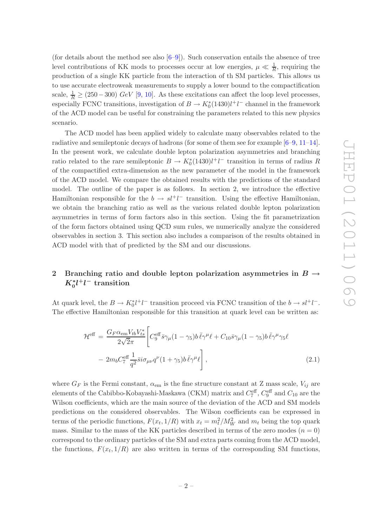(for details about the method see also  $[6-9]$ ). Such conservation entails the absence of tree level contributions of KK mods to processes occur at low energies,  $\mu \ll \frac{1}{R}$ , requiring the production of a single KK particle from the interaction of th SM particles. This allows us to use accurate electroweak measurements to supply a lower bound to the compactification scale,  $\frac{1}{R} \geq (250 - 300) \; GeV$  [\[9](#page-11-4), [10](#page-11-5)]. As these excitations can affect the loop level processes, especially FCNC transitions, investigation of  $B \to K_0^*(1430)l^+l^-$  channel in the framework of the ACD model can be useful for constraining the parameters related to this new physics scenario.

The ACD model has been applied widely to calculate many observables related to the radiative and semileptonic decays of hadrons (for some of them see for example [\[6](#page-11-3)[–9,](#page-11-4) [11](#page-11-6)[–14\]](#page-12-0). In the present work, we calculate double lepton polarization asymmetries and branching ratio related to the rare semileptonic  $B \to K_0^*(1430)l^+l^-$  transition in terms of radius R of the compactified extra-dimension as the new parameter of the model in the framework of the ACD model. We compare the obtained results with the predictions of the standard model. The outline of the paper is as follows. In section 2, we introduce the effective Hamiltonian responsible for the  $b \to s l^+ l^-$  transition. Using the effective Hamiltonian, we obtain the branching ratio as well as the various related double lepton polarization asymmetries in terms of form factors also in this section. Using the fit parametrization of the form factors obtained using QCD sum rules, we numerically analyze the considered observables in section 3. This section also includes a comparison of the results obtained in ACD model with that of predicted by the SM and our discussions.

# <span id="page-2-0"></span>2 Branching ratio and double lepton polarization asymmetries in  $B \rightarrow$  $K_0^* l^+ l^-$  transition

At quark level, the  $B \to K_0^* l^+ l^-$  transition proceed via FCNC transition of the  $b \to s l^+ l^-$ . The effective Hamiltonian responsible for this transition at quark level can be written as:

$$
\mathcal{H}^{\text{eff}} = \frac{G_F \alpha_{\text{em}} V_{tb} V_{ts}^*}{2\sqrt{2}\pi} \left[ C_9^{\text{eff}} \bar{s} \gamma_\mu (1 - \gamma_5) b \,\bar{\ell} \gamma^\mu \ell + C_{10} \bar{s} \gamma_\mu (1 - \gamma_5) b \,\bar{\ell} \gamma^\mu \gamma_5 \ell \right. \\
\left. - 2m_b C_7^{\text{eff}} \frac{1}{q^2} \bar{s} i \sigma_{\mu\nu} q^\nu (1 + \gamma_5) b \,\bar{\ell} \gamma^\mu \ell \right],
$$
\n(2.1)

where  $G_F$  is the Fermi constant,  $\alpha_{em}$  is the fine structure constant at Z mass scale,  $V_{ij}$  are elements of the Cabibbo-Kobayashi-Maskawa (CKM) matrix and  $C_7^{\text{eff}}$ ,  $C_9^{\text{eff}}$  and  $C_{10}$  are the Wilson coefficients, which are the main source of the deviation of the ACD and SM models predictions on the considered observables. The Wilson coefficients can be expressed in terms of the periodic functions,  $F(x_t, 1/R)$  with  $x_t = m_t^2/M_W^2$  and  $m_t$  being the top quark mass. Similar to the mass of the KK particles described in terms of the zero modes  $(n = 0)$ correspond to the ordinary particles of the SM and extra parts coming from the ACD model, the functions,  $F(x_t, 1/R)$  are also written in terms of the corresponding SM functions,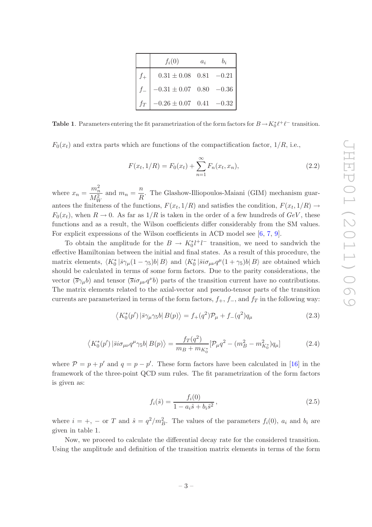|       | $f_i(0)$                                | $a_i$ | $b_i$ |
|-------|-----------------------------------------|-------|-------|
|       | $0.31 \pm 0.08$ $0.81$ $-0.21$          |       |       |
|       | $-0.31 \pm 0.07 \quad 0.80 \quad -0.36$ |       |       |
| $f_T$ | $-0.26 \pm 0.07$ 0.41 $-0.32$           |       |       |

**Table 1.** Parameters entering the fit parametrization of the form factors for  $B \to K_0^* \ell^+ \ell^-$  transition.

 $F_0(x_t)$  and extra parts which are functions of the compactification factor,  $1/R$ , i.e.,

$$
F(x_t, 1/R) = F_0(x_t) + \sum_{n=1}^{\infty} F_n(x_t, x_n),
$$
\n(2.2)

where  $x_n =$  $\frac{m_n^2}{M_W^2}$ and  $m_n = \frac{n}{\overline{n}}$  $\frac{n}{R}$ . The Glashow-Illiopoulos-Maiani (GIM) mechanism guarantees the finiteness of the functions,  $F(x_t, 1/R)$  and satisfies the condition,  $F(x_t, 1/R) \rightarrow$  $F_0(x_t)$ , when  $R \to 0$ . As far as  $1/R$  is taken in the order of a few hundreds of  $GeV$ , these functions and as a result, the Wilson coefficients differ considerably from the SM values. For explicit expressions of the Wilson coefficients in ACD model see [\[6](#page-11-3), [7](#page-11-7), [9\]](#page-11-4).

To obtain the amplitude for the  $B \to K_0^* l^+ l^-$  transition, we need to sandwich the effective Hamiltonian between the initial and final states. As a result of this procedure, the matrix elements,  $\langle K_0^* | \bar{s} \gamma_\mu (1 - \gamma_5) b | B \rangle$  and  $\langle K_0^* | \bar{s} i \sigma_{\mu\nu} q^\mu (1 + \gamma_5) b | B \rangle$  are obtained which should be calculated in terms of some form factors. Due to the parity considerations, the vector  $(\overline{s}\gamma_\mu b)$  and tensor  $(\overline{s} i\sigma_{\mu\nu} q^{\nu} b)$  parts of the transition current have no contributions. The matrix elements related to the axial-vector and pseudo-tensor parts of the transition currents are parameterized in terms of the form factors,  $f_+, f_-,$  and  $f_T$  in the following way:

$$
\langle K_0^*(p')|\bar{s}\gamma_\mu\gamma_5 b|B(p)\rangle = f_+(q^2)\mathcal{P}_\mu + f_-(q^2)q_\mu
$$
\n(2.3)

$$
\langle K_0^*(p')|\bar{s}i\sigma_{\mu\nu}q^{\mu}\gamma_5 b|B(p)\rangle = \frac{f_T(q^2)}{m_B + m_{K_0^*}}[\mathcal{P}_{\mu}q^2 - (m_B^2 - m_{K_0^*}^2)q_{\mu}]
$$
(2.4)

where  $P = p + p'$  and  $q = p - p'$ . These form factors have been calculated in [\[16](#page-12-1)] in the framework of the three-point QCD sum rules. The fit parametrization of the form factors is given as:

$$
f_i(\hat{s}) = \frac{f_i(0)}{1 - a_i \hat{s} + b_i \hat{s}^2},
$$
\n(2.5)

where  $i = +, -$  or T and  $\hat{s} = q^2/m_B^2$ . The values of the parameters  $f_i(0)$ ,  $a_i$  and  $b_i$  are given in table 1.

Now, we proceed to calculate the differential decay rate for the considered transition. Using the amplitude and definition of the transition matrix elements in terms of the form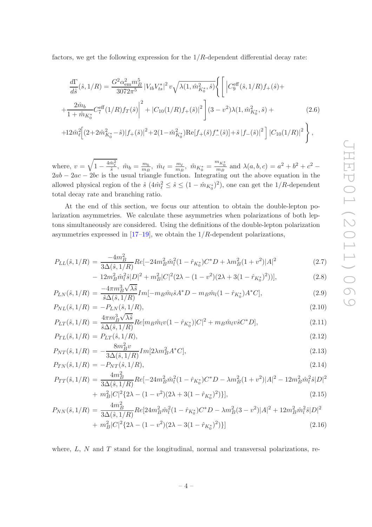factors, we get the following expression for the  $1/R$ -dependent differential decay rate:

$$
\frac{d\Gamma}{d\hat{s}}(\hat{s},1/R) = \frac{G^2 \alpha_{em}^2 m_B^5}{3072\pi^5} |V_{tb}V_{ts}^*|^2 v \sqrt{\lambda(1,\hat{m}_{K_0^*}^2,\hat{s})} \Bigg\{ \Bigg[ |C_9^{\text{eff}}(\hat{s},1/R)f_+(\hat{s}) +\n+ \frac{2\hat{m}_b}{1+\hat{m}_{K_0^*}} C_7^{\text{eff}}(1/R)f_T(\hat{s}) \Bigg]^2 + |C_{10}(1/R)f_+(\hat{s})|^2 \Bigg] (3-v^2)\lambda(1,\hat{m}_{K_0^*}^2,\hat{s}) +\n+ 12\hat{m}_{\ell}^2 \Big[ (2+2\hat{m}_{K_0^*}^2-\hat{s})|f_+(\hat{s})|^2 + 2(1-\hat{m}_{K_0^*}^2) \text{Re}[f_+(\hat{s})f_-(\hat{s})] + \hat{s}|f_-(\hat{s})|^2 \Bigg] |C_{10}(1/R)|^2 \Bigg\},
$$
\n(2.6)

where,  $v = \sqrt{1 - \frac{4\hat{m}_{\ell}^2}{\hat{s}}}, \ \hat{m}_b = \frac{m_b}{m_B}$  $\frac{m_b}{m_B}$ ,  $\hat{m}_{\ell} = \frac{m_{\ell}}{m_B}$  $\frac{m_{\ell}}{m_B}$ ,  $\hat{m}_{K_0^*} = \frac{m_{K_0^*}}{m_B}$  and  $\lambda(a, b, c) = a^2 + b^2 + c^2$  $2ab - 2ac - 2bc$  is the usual triangle function. Integrating out the above equation in the allowed physical region of the  $\hat{s}$   $(4\hat{m}_{\ell}^2 \leq \hat{s} \leq (1 - \hat{m}_{K_0^*})^2)$ , one can get the 1/R-dependent total decay rate and branching ratio.

At the end of this section, we focus our attention to obtain the double-lepton polarization asymmetries. We calculate these asymmetries when polarizations of both leptons simultaneously are considered. Using the definitions of the double-lepton polarization asymmetries expressed in  $[17-19]$ , we obtain the  $1/R$ -dependent polarizations,

$$
P_{LL}(\hat{s}, 1/R) = \frac{-4m_B^2}{3\Delta(\hat{s}, 1/R)} Re[-24m_B^2 \hat{m}_l^2 (1 - \hat{r}_{K_0^*}) C^* D + \lambda m_B^2 (1 + v^2) |A|^2 \tag{2.7}
$$

$$
- 12m_B^2 \hat{m}_l^2 \hat{s} |D|^2 + m_B^2 |C|^2 (2\lambda - (1 - v^2)(2\lambda + 3(1 - \hat{r}_{K_0^*})^2))],
$$
\n
$$
4\pi m^3 \sqrt{\lambda \hat{s}}
$$
\n(2.8)

$$
P_{LN}(\hat{s}, 1/R) = \frac{-4\pi m_B^3 \sqrt{\lambda \hat{s}}}{\hat{s}\Delta(\hat{s}, 1/R)} Im[-m_B \hat{m}_l \hat{s} A^* D - m_B \hat{m}_l (1 - \hat{r}_{K_0^*}) A^* C],
$$
\n(2.9)

$$
P_{NL}(\hat{s}, 1/R) = -P_{LN}(\hat{s}, 1/R),
$$
\n
$$
P_{NL}(\hat{s}, 1/R) = \frac{4\pi m_B^3 \sqrt{\lambda \hat{s}}}{4\pi m_B^3 \sqrt{\lambda \hat{s}}}
$$
\n
$$
P_{NL}(\hat{s}, 1/R) = \frac{4\pi m_B^3 \sqrt{\lambda \hat{s}}}{4\pi m_B^3 \sqrt{\lambda \hat{s}}}
$$
\n
$$
P_{NL}(\hat{s}, 1/R) = \frac{4\pi m_B^3 \sqrt{\lambda \hat{s}}}{4\pi m_B^3 \sqrt{\lambda \hat{s}}}
$$
\n
$$
P_{NL}(\hat{s}, 1/R) = \frac{4\pi m_B^3 \sqrt{\lambda \hat{s}}}{4\pi m_B^3 \sqrt{\lambda \hat{s}}}
$$
\n
$$
P_{NL}(\hat{s}, 1/R) = \frac{4\pi m_B^3 \sqrt{\lambda \hat{s}}}{4\pi m_B^3 \sqrt{\lambda \hat{s}}}
$$
\n
$$
P_{NL}(\hat{s}, 1/R) = \frac{4\pi m_B^3 \sqrt{\lambda \hat{s}}}{4\pi m_B^3 \sqrt{\lambda \hat{s}}}
$$
\n
$$
P_{NL}(\hat{s}, 1/R) = \frac{4\pi m_B^3 \sqrt{\lambda \hat{s}}}{4\pi m_B^3 \sqrt{\lambda \hat{s}}}
$$
\n
$$
P_{NL}(\hat{s}, 1/R) = \frac{4\pi m_B^3 \sqrt{\lambda \hat{s}}}{4\pi m_B^3 \sqrt{\lambda \hat{s}}}
$$
\n
$$
P_{NL}(\hat{s}, 1/R) = \frac{4\pi m_B^3 \sqrt{\lambda \hat{s}}}{4\pi m_B^3 \sqrt{\lambda \hat{s}}}
$$
\n
$$
P_{NL}(\hat{s}, 1/R) = \frac{4\pi m_B^3 \sqrt{\lambda \hat{s}}}{4\pi m_B^3 \sqrt{\lambda \hat{s}}}
$$
\n
$$
P_{NL}(\hat{s}, 1/R) = \frac{4\pi m_B^3 \sqrt{\lambda \hat{s}}}{4\pi m_B^3 \sqrt{\lambda \hat{s}}}
$$
\n
$$
P_{NL}(\hat{s}, 1/R) = \frac{4\pi m_B^3 \sqrt{\lambda \hat{s}}}{4\pi m_B^3 \sqrt{\lambda \hat{s}}}
$$

$$
P_{LT}(\hat{s}, 1/R) = \frac{4\pi m_B^3 \sqrt{\lambda \hat{s}}}{\hat{s}\Delta(\hat{s}, 1/R)} Re[m_B \hat{m}_l v (1 - \hat{r}_{K_0^*})|C|^2 + m_B \hat{m}_l v \hat{s} C^* D],
$$
\n(2.11)

$$
P_{TL}(\hat{s}, 1/R) = P_{LT}(\hat{s}, 1/R),
$$
\n
$$
P_{TL}(\hat{s}, 1/R) = 8m_B^2 v
$$
\n
$$
[9, 2, 4* \text{Cl}]
$$
\n(2.12)

$$
P_{NT}(\hat{s}, 1/R) = -\frac{\delta m_B v}{3\Delta(\hat{s}, 1/R)} Im[2\lambda m_B^2 A^* C],
$$
\n(2.13)

$$
P_{TN}(\hat{s}, 1/R) = -P_{NT}(\hat{s}, 1/R),
$$
\n<sup>(2.14)</sup>

$$
P_{TT}(\hat{s},1/R) = \frac{4m_B^2}{3\Delta(\hat{s},1/R)} Re[-24m_B^2 \hat{m}_l^2 (1 - \hat{r}_{K_0^*}) C^* D - \lambda m_B^2 (1 + v^2) |A|^2 - 12m_B^2 \hat{m}_l^2 \hat{s} |D|^2
$$
  

$$
+ m^2 |C|^2 \Omega \left( (1 - v^2)(2) + 3(1 - \hat{r}_{K_0^*})^2 \right) |1 - (2.15)|
$$

$$
+ mB2|C|2{2\lambda - (1 - v2)(2\lambda + 3(1 - \hat{r}_{K_0*})2)},
$$
\n(2.15)

$$
P_{NN}(\hat{s}, 1/R) = \frac{4m_B^2}{3\Delta(\hat{s}, 1/R)} Re[24m_B^2 \hat{m}_l^2 (1 - \hat{r}_{K_0^*}) C^* D - \lambda m_B^2 (3 - v^2) |A|^2 + 12m_B^2 \hat{m}_l^2 \hat{s} |D|^2
$$
  
+  $m_B^2 |C|^2 \{2\lambda - (1 - v^2)(2\lambda - 3(1 - \hat{r}_{K_0^*})^2)\}]$  (2.16)

where,  $L$ ,  $N$  and  $T$  stand for the longitudinal, normal and transversal polarizations, re-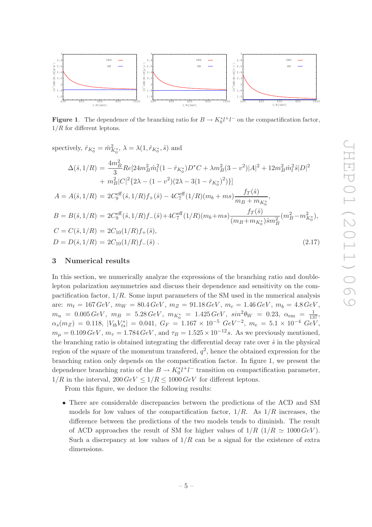

**Figure 1.** The dependence of the branching ratio for  $B \to K_0^* l^+ l^-$  on the compactification factor,  $1/R$  for different leptons.

spectively, 
$$
\hat{r}_{K_0^*} = \hat{m}_{K_0^*}^2
$$
,  $\lambda = \lambda(1, \hat{r}_{K_0^*}, \hat{s})$  and  
\n
$$
\Delta(\hat{s}, 1/R) = \frac{4m_B^2}{3} Re[24m_B^2 \hat{m}_l^2 (1 - \hat{r}_{K_0^*}) D^* C + \lambda m_B^2 (3 - v^2) |A|^2 + 12m_B^2 \hat{m}_l^2 \hat{s} |D|^2
$$
\n
$$
+ m_B^2 |C|^2 \{2\lambda - (1 - v^2)(2\lambda - 3(1 - \hat{r}_{K_0^*})^2)\}]
$$
\n
$$
A = A(\hat{s}, 1/R) = 2C_9^{\text{eff}}(\hat{s}, 1/R) f_+(\hat{s}) - 4C_7^{\text{eff}}(1/R)(m_b + ms) \frac{f_T(\hat{s})}{m_B + m_{K_0^*}},
$$
\n
$$
B = B(\hat{s}, 1/R) = 2C_9^{\text{eff}}(\hat{s}, 1/R) f_-(\hat{s}) + 4C_7^{\text{eff}}(1/R)(m_b + ms) \frac{f_T(\hat{s})}{(m_B + m_{K_0^*})\hat{s}m_B^2}(m_B^2 - m_{K_0^*}^2),
$$
\n
$$
C = C(\hat{s}, 1/R) = 2C_{10}(1/R) f_+(\hat{s}),
$$
\n
$$
D = D(\hat{s}, 1/R) = 2C_{10}(1/R) f_-(\hat{s}).
$$
\n(2.17)

#### <span id="page-5-0"></span>3 Numerical results

In this section, we numerically analyze the expressions of the branching ratio and doublelepton polarization asymmetries and discuss their dependence and sensitivity on the compactification factor,  $1/R$ . Some input parameters of the SM used in the numerical analysis are:  $m_t = 167 \text{ GeV}, m_W = 80.4 \text{ GeV}, m_Z = 91.18 \text{ GeV}, m_c = 1.46 \text{ GeV}, m_b = 4.8 \text{ GeV},$  $m_u = 0.005 \, GeV, \, m_B = 5.28 \, GeV, \, m_{K_0^*} = 1.425 \, GeV, \, sin^2 \theta_W = 0.23, \, \alpha_{\rm em} = \frac{1}{137},$  $\alpha_s(m_Z) = 0.118, |V_{tb}V_{ts}^*| = 0.041, G_F = 1.167 \times 10^{-5} \ GeV^{-2}, m_e = 5.1 \times 10^{-4} \ GeV,$  $m_{\mu} = 0.109 \,\text{GeV}, m_{\tau} = 1.784 \,\text{GeV}, \text{and } \tau_B = 1.525 \times 10^{-12} \,\text{s}.$  As we previously mentioned, the branching ratio is obtained integrating the differential decay rate over  $\hat{s}$  in the physical region of the square of the momentum transfered,  $q^2$ , hence the obtained expression for the branching ration only depends on the compactification factor. In figure 1, we present the dependence branching ratio of the  $B \to K_0^* l^+ l^-$  transition on compactification parameter,  $1/R$  in the interval,  $200 \text{ GeV} \le 1/R \le 1000 \text{ GeV}$  for different leptons.

From this figure, we deduce the following results:

• There are considerable discrepancies between the predictions of the ACD and SM models for low values of the compactification factor,  $1/R$ . As  $1/R$  increases, the difference between the predictions of the two models tends to diminish. The result of ACD approaches the result of SM for higher values of  $1/R$  ( $1/R \simeq 1000 \, GeV$ ). Such a discrepancy at low values of  $1/R$  can be a signal for the existence of extra dimensions.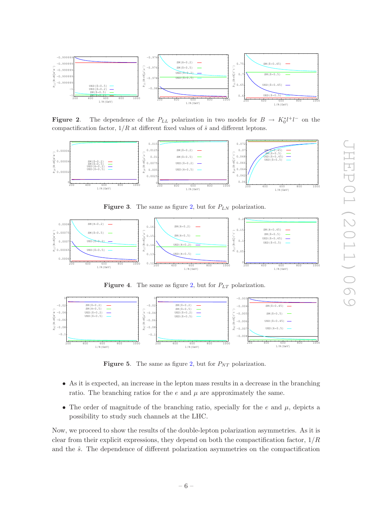

<span id="page-6-0"></span>**Figure 2.** The dependence of the  $P_{LL}$  polarization in two models for  $B \to K_0^* l^+ l^-$  on the compactification factor,  $1/R$  at different fixed values of  $\hat{s}$  and different leptons.



**Figure 3.** The same as figure [2,](#page-6-0) but for  $P_{LN}$  polarization.



**Figure 4.** The same as figure [2,](#page-6-0) but for  $P_{LT}$  polarization.



**Figure 5.** The same as figure [2,](#page-6-0) but for  $P_{NT}$  polarization.

- As it is expected, an increase in the lepton mass results in a decrease in the branching ratio. The branching ratios for the  $e$  and  $\mu$  are approximately the same.
- The order of magnitude of the branching ratio, specially for the  $e$  and  $\mu$ , depicts a possibility to study such channels at the LHC.

Now, we proceed to show the results of the double-lepton polarization asymmetries. As it is clear from their explicit expressions, they depend on both the compactification factor,  $1/R$ and the  $\hat{s}$ . The dependence of different polarization asymmetries on the compactification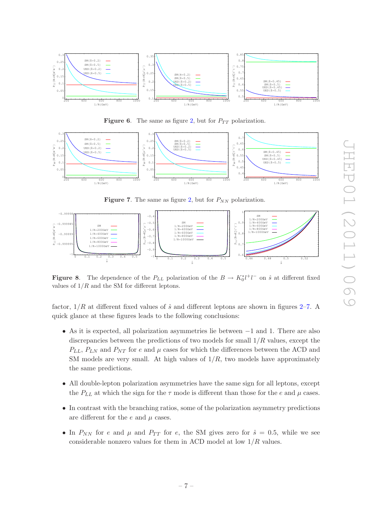

Figure 6. The same as figure [2,](#page-6-0) but for  $P_{TT}$  polarization.



<span id="page-7-0"></span>**Figure 7.** The same as figure [2,](#page-6-0) but for  $P_{NN}$  polarization.



<span id="page-7-1"></span>**Figure 8.** The dependence of the  $P_{LL}$  polarization of the  $B \to K_0^* l^+ l^-$  on  $\hat{s}$  at different fixed values of  $1/R$  and the SM for different leptons.

factor,  $1/R$  at different fixed values of  $\hat{s}$  and different leptons are shown in figures [2–](#page-6-0)[7.](#page-7-0) A quick glance at these figures leads to the following conclusions:

- As it is expected, all polarization asymmetries lie between −1 and 1. There are also discrepancies between the predictions of two models for small  $1/R$  values, except the  $P_{LL}$ ,  $P_{LN}$  and  $P_{NT}$  for e and  $\mu$  cases for which the differences between the ACD and SM models are very small. At high values of  $1/R$ , two models have approximately the same predictions.
- All double-lepton polarization asymmetries have the same sign for all leptons, except the  $P_{LL}$  at which the sign for the  $\tau$  mode is different than those for the e and  $\mu$  cases.
- In contrast with the branching ratios, some of the polarization asymmetry predictions are different for the  $e$  and  $\mu$  cases.
- In  $P_{NN}$  for e and  $\mu$  and  $P_{TT}$  for e, the SM gives zero for  $\hat{s} = 0.5$ , while we see considerable nonzero values for them in ACD model at low  $1/R$  values.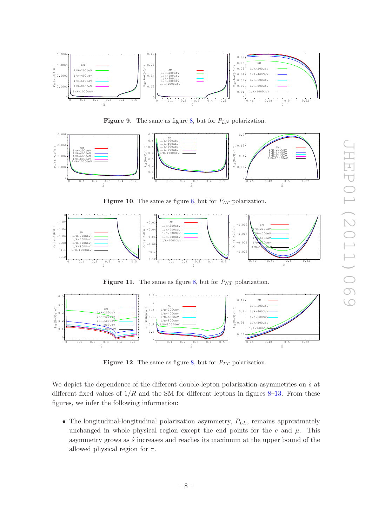

**Figure 9.** The same as figure [8,](#page-7-1) but for  $P_{LN}$  polarization.



Figure 10. The same as figure [8,](#page-7-1) but for  $P_{LT}$  polarization.



Figure 11. The same as figure [8,](#page-7-1) but for  $P_{NT}$  polarization.



Figure 12. The same as figure [8,](#page-7-1) but for  $P_{TT}$  polarization.

We depict the dependence of the different double-lepton polarization asymmetries on  $\hat{s}$  at different fixed values of  $1/R$  and the SM for different leptons in figures [8–](#page-7-1)[13.](#page-9-0) From these figures, we infer the following information:

• The longitudinal-longitudinal polarization asymmetry,  $P_{LL}$ , remains approximately unchanged in whole physical region except the end points for the  $e$  and  $\mu$ . This asymmetry grows as  $\hat{s}$  increases and reaches its maximum at the upper bound of the allowed physical region for  $\tau$ .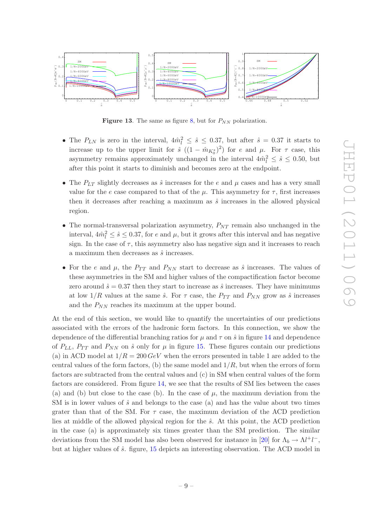

<span id="page-9-0"></span>Figure 13. The same as figure [8,](#page-7-1) but for  $P_{NN}$  polarization.

- The  $P_{LN}$  is zero in the interval,  $4m_l^2 \leq \hat{s} \leq 0.37$ , but after  $\hat{s} = 0.37$  it starts to increase up to the upper limit for  $\hat{s}((1 - \hat{m}_{K_0^*})^2)$  for e and  $\mu$ . For  $\tau$  case, this asymmetry remains approximately unchanged in the interval  $4m_l^2 \leq \hat{s} \leq 0.50$ , but after this point it starts to diminish and becomes zero at the endpoint.
- The  $P_{LT}$  slightly decreases as  $\hat{s}$  increases for the e and  $\mu$  cases and has a very small value for the e case compared to that of the  $\mu$ . This asymmetry for  $\tau$ , first increases then it decreases after reaching a maximum as  $\hat{s}$  increases in the allowed physical region.
- The normal-transversal polarization asymmetry,  $P_{NT}$  remain also unchanged in the interval,  $4\hat{m}_l^2 \leq \hat{s} \leq 0.37$ , for e and  $\mu$ , but it grows after this interval and has negative sign. In the case of  $\tau$ , this asymmetry also has negative sign and it increases to reach a maximum then decreases as  $\hat{s}$  increases.
- For the e and  $\mu$ , the  $P_{TT}$  and  $P_{NN}$  start to decrease as  $\hat{s}$  increases. The values of these asymmetries in the SM and higher values of the compactification factor become zero around  $\hat{s} = 0.37$  then they start to increase as  $\hat{s}$  increases. They have minimums at low  $1/R$  values at the same  $\hat{s}$ . For  $\tau$  case, the  $P_{TT}$  and  $P_{NN}$  grow as  $\hat{s}$  increases and the  $P_{NN}$  reaches its maximum at the upper bound.

At the end of this section, we would like to quantify the uncertainties of our predictions associated with the errors of the hadronic form factors. In this connection, we show the dependence of the differential branching ratios for  $\mu$  and  $\tau$  on  $\hat{s}$  in figure [14](#page-10-1) and dependence of  $P_{LL}$ ,  $P_{TT}$  and  $P_{NN}$  on  $\hat{s}$  only for  $\mu$  in figure [15.](#page-10-2) These figures contain our predictions (a) in ACD model at  $1/R = 200 \, GeV$  when the errors presented in table 1 are added to the central values of the form factors, (b) the same model and  $1/R$ , but when the errors of form factors are subtracted from the central values and (c) in SM when central values of the form factors are considered. From figure [14,](#page-10-1) we see that the results of SM lies between the cases (a) and (b) but close to the case (b). In the case of  $\mu$ , the maximum deviation from the SM is in lower values of  $\hat{s}$  and belongs to the case (a) and has the value about two times grater than that of the SM. For  $\tau$  case, the maximum deviation of the ACD prediction lies at middle of the allowed physical region for the  $\hat{s}$ . At this point, the ACD prediction in the case (a) is approximately six times greater than the SM prediction. The similar deviations from the SM model has also been observed for instance in [\[20](#page-12-4)] for  $\Lambda_b \to \Lambda l^+ l^-$ , but at higher values of  $\hat{s}$ . figure, [15](#page-10-2) depicts an interesting observation. The ACD model in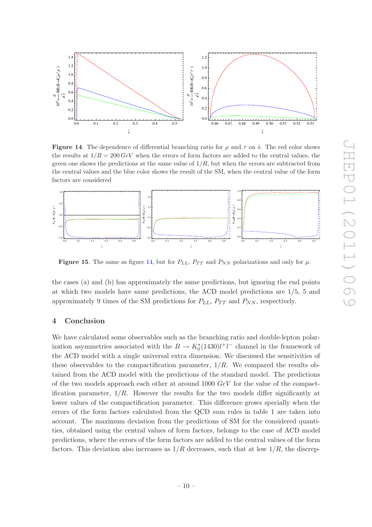

<span id="page-10-1"></span>**Figure 14.** The dependence of differential branching ratio for  $\mu$  and  $\tau$  on  $\hat{s}$ . The red color shows the results at  $1/R = 200 \text{ GeV}$  when the errors of form factors are added to the central values, the green one shows the predictions at the same value of  $1/R$ , but when the errors are subtracted from the central values and the blue color shows the result of the SM, when the central value of the form factors are considered



<span id="page-10-2"></span>**Figure 15.** The same as figure [14,](#page-10-1) but for  $P_{LL}$ ,  $P_{TT}$  and  $P_{NN}$  polarizations and only for  $\mu$ .

the cases (a) and (b) has approximately the same predictions, but ignoring the end points at which two models have same predictions, the ACD model predictions are 1/5, 5 and approximately 9 times of the SM predictions for  $P_{LL}$ ,  $P_{TT}$  and  $P_{NN}$ , respectively.

#### <span id="page-10-0"></span>4 Conclusion

We have calculated some observables such as the branching ratio and double-lepton polarization asymmetries associated with the  $B \to K_0^*(1430)l^+l^-$  channel in the framework of the ACD model with a single universal extra dimension. We discussed the sensitivities of these observables to the compactification parameter,  $1/R$ . We compared the results obtained from the ACD model with the predictions of the standard model. The predictions of the two models approach each other at around  $1000 \ GeV$  for the value of the compactification parameter,  $1/R$ . However the results for the two models differ significantly at lower values of the compactification parameter. This difference grows specially when the errors of the form factors calculated from the QCD sum rules in table 1 are taken into account. The maximum deviation from the predictions of SM for the considered quantities, obtained using the central values of form factors, belongs to the case of ACD model predictions, where the errors of the form factors are added to the central values of the form factors. This deviation also increases as  $1/R$  decreases, such that at low  $1/R$ , the discrep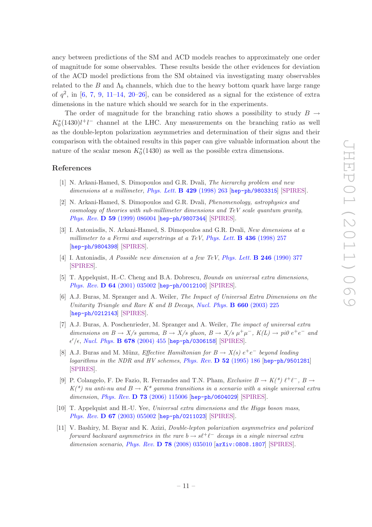ancy between predictions of the SM and ACD models reaches to approximately one order of magnitude for some observables. These results beside the other evidences for deviation of the ACD model predictions from the SM obtained via investigating many observables related to the B and  $\Lambda_b$  channels, which due to the heavy bottom quark have large range of  $q^2$ , in [\[6](#page-11-3), [7](#page-11-7), [9](#page-11-4), [11](#page-11-6)[–14](#page-12-0), [20](#page-12-4)[–26](#page-12-5)], can be considered as a signal for the existence of extra dimensions in the nature which should we search for in the experiments.

The order of magnitude for the branching ratio shows a possibility to study  $B \rightarrow$  $K_0^*(1430)l^+l^-$  channel at the LHC. Any measurements on the branching ratio as well as the double-lepton polarization asymmetries and determination of their signs and their comparison with the obtained results in this paper can give valuable information about the nature of the scalar meson  $K_0^*(1430)$  as well as the possible extra dimensions.

### References

- <span id="page-11-0"></span>[1] N. Arkani-Hamed, S. Dimopoulos and G.R. Dvali, *The hierarchy problem and new dimensions at a millimeter*, *[Phys. Lett.](http://dx.doi.org/10.1016/S0370-2693(98)00466-3)* B 429 (1998) 263 [[hep-ph/9803315](http://arxiv.org/abs/hep-ph/9803315)] [\[SPIRES\]](http://www-spires.slac.stanford.edu/spires/find/hep/www?eprint=HEP-PH/9803315).
- [2] N. Arkani-Hamed, S. Dimopoulos and G.R. Dvali, *Phenomenology, astrophysics and cosmology of theories with sub-millimeter dimensions and TeV scale quantum gravity*, *Phys. Rev.* D 59 [\(1999\) 086004](http://dx.doi.org/10.1103/PhysRevD.59.086004) [[hep-ph/9807344](http://arxiv.org/abs/hep-ph/9807344)] [\[SPIRES\]](http://www-spires.slac.stanford.edu/spires/find/hep/www?eprint=HEP-PH/9807344).
- [3] I. Antoniadis, N. Arkani-Hamed, S. Dimopoulos and G.R. Dvali, *New dimensions at a millimeter to a Fermi and superstrings at a TeV*, *[Phys. Lett.](http://dx.doi.org/10.1016/S0370-2693(98)00860-0)* B 436 (1998) 257 [[hep-ph/9804398](http://arxiv.org/abs/hep-ph/9804398)] [\[SPIRES\]](http://www-spires.slac.stanford.edu/spires/find/hep/www?eprint=HEP-PH/9804398).
- <span id="page-11-1"></span>[4] I. Antoniadis, *A Possible new dimension at a few TeV*, *[Phys. Lett.](http://dx.doi.org/10.1016/0370-2693(90)90617-F)* B 246 (1990) 377 [\[SPIRES\]](http://www-spires.slac.stanford.edu/spires/find/hep/www?j=PHLTA,B246,377).
- <span id="page-11-2"></span>[5] T. Appelquist, H.-C. Cheng and B.A. Dobrescu, *Bounds on universal extra dimensions*, *Phys. Rev.* D 64 [\(2001\) 035002](http://dx.doi.org/10.1103/PhysRevD.64.035002) [[hep-ph/0012100](http://arxiv.org/abs/hep-ph/0012100)] [\[SPIRES\]](http://www-spires.slac.stanford.edu/spires/find/hep/www?eprint=HEP-PH/0012100).
- <span id="page-11-3"></span>[6] A.J. Buras, M. Spranger and A. Weiler, *The Impact of Universal Extra Dimensions on the Unitarity Triangle and Rare K and B Decays*, *[Nucl. Phys.](http://dx.doi.org/10.1016/S0550-3213(03)00250-5)* B 660 (2003) 225 [[hep-ph/0212143](http://arxiv.org/abs/hep-ph/0212143)] [\[SPIRES\]](http://www-spires.slac.stanford.edu/spires/find/hep/www?eprint=HEP-PH/0212143).
- <span id="page-11-7"></span>[7] A.J. Buras, A. Poschenrieder, M. Spranger and A. Weiler, *The impact of universal extra dimensions on*  $B \to X/s$  gamma,  $B \to X/s$  gluon,  $B \to X/s$   $\mu^+\mu^-$ ,  $K(L) \to pi0$   $e^+e^-$  and  $\epsilon'/\epsilon$ , *[Nucl. Phys.](http://dx.doi.org/10.1016/j.nuclphysb.2003.11.010)* **B 678** (2004) 455 [[hep-ph/0306158](http://arxiv.org/abs/hep-ph/0306158)] [\[SPIRES\]](http://www-spires.slac.stanford.edu/spires/find/hep/www?eprint=HEP-PH/0306158).
- [8] A.J. Buras and M. Münz, *Effective Hamiltonian for*  $B \to X(s) e^+e^-$  *beyond leading logarithms in the NDR and HV schemes*, *[Phys. Rev.](http://dx.doi.org/10.1103/PhysRevD.52.186)* D 52 (1995) 186 [[hep-ph/9501281](http://arxiv.org/abs/hep-ph/9501281)] [\[SPIRES\]](http://www-spires.slac.stanford.edu/spires/find/hep/www?eprint=HEP-PH/9501281).
- <span id="page-11-4"></span>[9] P. Colangelo, F. De Fazio, R. Ferrandes and T.N. Pham, *Exclusive B*  $\rightarrow$  K(\*)  $\ell^+\ell^-$ , *B*  $\rightarrow$  $K^{(*)}$  *nu anti-nu and*  $B \to K^*$  gamma transitions in a scenario with a single universal extra *dimension*, *Phys. Rev.* D 73 [\(2006\) 115006](http://dx.doi.org/10.1103/PhysRevD.73.115006) [[hep-ph/0604029](http://arxiv.org/abs/hep-ph/0604029)] [\[SPIRES\]](http://www-spires.slac.stanford.edu/spires/find/hep/www?eprint=HEP-PH/0604029).
- <span id="page-11-5"></span>[10] T. Appelquist and H.-U. Yee, *Universal extra dimensions and the Higgs boson mass*, *Phys. Rev.* D 67 [\(2003\) 055002](http://dx.doi.org/10.1103/PhysRevD.67.055002) [[hep-ph/0211023](http://arxiv.org/abs/hep-ph/0211023)] [\[SPIRES\]](http://www-spires.slac.stanford.edu/spires/find/hep/www?eprint=HEP-PH/0211023).
- <span id="page-11-6"></span>[11] V. Bashiry, M. Bayar and K. Azizi, *Double-lepton polarization asymmetries and polarized forward backward asymmetries in the rare*  $b \rightarrow s\ell^+\ell^-$  *decays in a single niversal extra dimension scenario*, *Phys. Rev.* D 78 [\(2008\) 035010](http://dx.doi.org/10.1103/PhysRevD.78.035010) [[arXiv:0808.1807](http://arxiv.org/abs/0808.1807)] [\[SPIRES\]](http://www-spires.slac.stanford.edu/spires/find/hep/www?eprint=0808.1807).